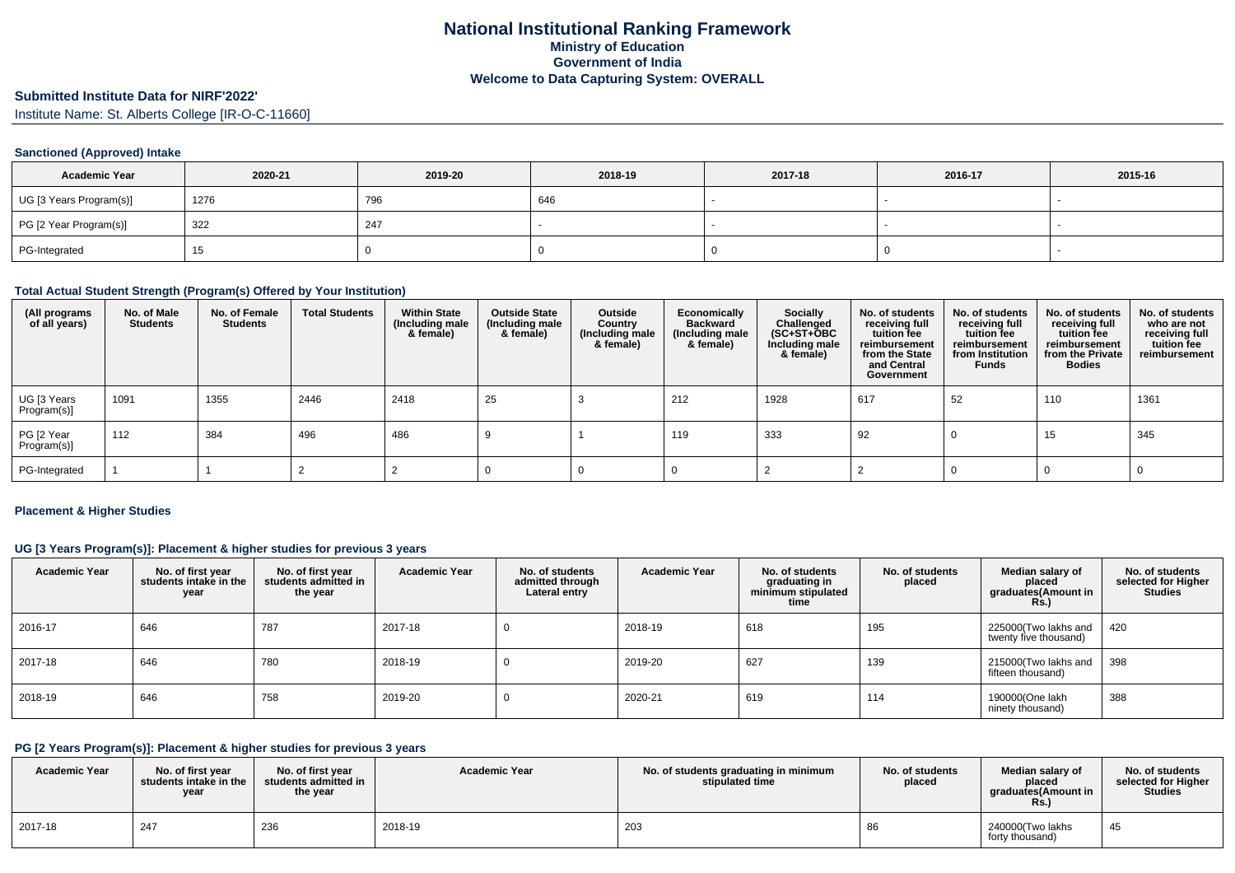## **Submitted Institute Data for NIRF'2022'**

Institute Name: St. Alberts College [IR-O-C-11660]

## **Sanctioned (Approved) Intake**

| <b>Academic Year</b>    | 2020-21 | 2019-20 | 2018-19 | 2017-18 | 2016-17 | 2015-16 |
|-------------------------|---------|---------|---------|---------|---------|---------|
| UG [3 Years Program(s)] | 1276    | 796     | 646     |         |         |         |
| PG [2 Year Program(s)]  | 322     | 247     |         |         |         |         |
| PG-Integrated           | כ ו     |         |         |         |         |         |

#### **Total Actual Student Strength (Program(s) Offered by Your Institution)**

| (All programs<br>of all years) | No. of Male<br><b>Students</b> | No. of Female<br><b>Students</b> | <b>Total Students</b> | <b>Within State</b><br>(Including male<br>& female) | <b>Outside State</b><br>(Including male<br>& female) | Outside<br>Country<br>(Including male<br>& female) | Economically<br><b>Backward</b><br>(Including male<br>& female) | <b>Socially</b><br>Challenged<br>$(SC+ST+OBC)$<br>Including male<br>& female) | No. of students<br>receiving full<br>tuition fee<br>reimbursement<br>from the State<br>and Central<br>Government | No. of students<br>receiving full<br>tuition fee<br>reimbursement<br>from Institution<br><b>Funds</b> | No. of students<br>receiving full<br>tuition fee<br>reimbursement<br>from the Private<br><b>Bodies</b> | No. of students<br>who are not<br>receiving full<br>tuition fee<br>reimbursement |
|--------------------------------|--------------------------------|----------------------------------|-----------------------|-----------------------------------------------------|------------------------------------------------------|----------------------------------------------------|-----------------------------------------------------------------|-------------------------------------------------------------------------------|------------------------------------------------------------------------------------------------------------------|-------------------------------------------------------------------------------------------------------|--------------------------------------------------------------------------------------------------------|----------------------------------------------------------------------------------|
| UG [3 Years<br>Program(s)]     | 1091                           | 1355                             | 2446                  | 2418                                                | 25                                                   |                                                    | 212                                                             | 1928                                                                          | 617                                                                                                              | 52                                                                                                    | 110                                                                                                    | 1361                                                                             |
| PG [2 Year<br>Program(s)]      | 112                            | 384                              | 496                   | 486                                                 |                                                      |                                                    | 119                                                             | 333                                                                           | 92                                                                                                               |                                                                                                       | 15                                                                                                     | 345                                                                              |
| PG-Integrated                  |                                |                                  |                       |                                                     |                                                      |                                                    |                                                                 |                                                                               |                                                                                                                  |                                                                                                       |                                                                                                        |                                                                                  |

## **Placement & Higher Studies**

## **UG [3 Years Program(s)]: Placement & higher studies for previous 3 years**

| <b>Academic Year</b> | No. of first year<br>students intake in the<br>year | No. of first year<br>students admitted in<br>the year | <b>Academic Year</b> | No. of students<br>admitted through<br>Lateral entry | <b>Academic Year</b> | No. of students<br>graduating in<br>minimum stipulated<br>time | No. of students<br>placed | Median salary of<br>placed<br>graduates(Amount in<br><b>Rs.)</b> | No. of students<br>selected for Higher<br><b>Studies</b> |
|----------------------|-----------------------------------------------------|-------------------------------------------------------|----------------------|------------------------------------------------------|----------------------|----------------------------------------------------------------|---------------------------|------------------------------------------------------------------|----------------------------------------------------------|
| 2016-17              | 646                                                 | 787                                                   | 2017-18              |                                                      | 2018-19              | 618                                                            | 195                       | 225000(Two lakhs and<br>twenty five thousand)                    | 420                                                      |
| 2017-18              | 646                                                 | 780                                                   | 2018-19              |                                                      | 2019-20              | 627                                                            | 139                       | 215000(Two lakhs and<br>fifteen thousand)                        | 398                                                      |
| 2018-19              | 646                                                 | 758                                                   | 2019-20              |                                                      | 2020-21              | 619                                                            | 114                       | 190000(One lakh<br>ninety thousand)                              | 388                                                      |

## **PG [2 Years Program(s)]: Placement & higher studies for previous 3 years**

| <b>Academic Year</b> | No. of first year<br>students intake in the<br>year | No. of first year<br>students admitted in<br>the year | <b>Academic Year</b> | No. of students graduating in minimum<br>stipulated time | No. of students<br>placed | Median salary of<br>placed<br>araduates(Amount in<br>Rs. | No. of students<br>selected for Higher<br><b>Studies</b> |
|----------------------|-----------------------------------------------------|-------------------------------------------------------|----------------------|----------------------------------------------------------|---------------------------|----------------------------------------------------------|----------------------------------------------------------|
| 2017-18              | 247                                                 | 236                                                   | 2018-19              | 203                                                      |                           | 240000(Two lakhs<br>forty thousand)                      | 45                                                       |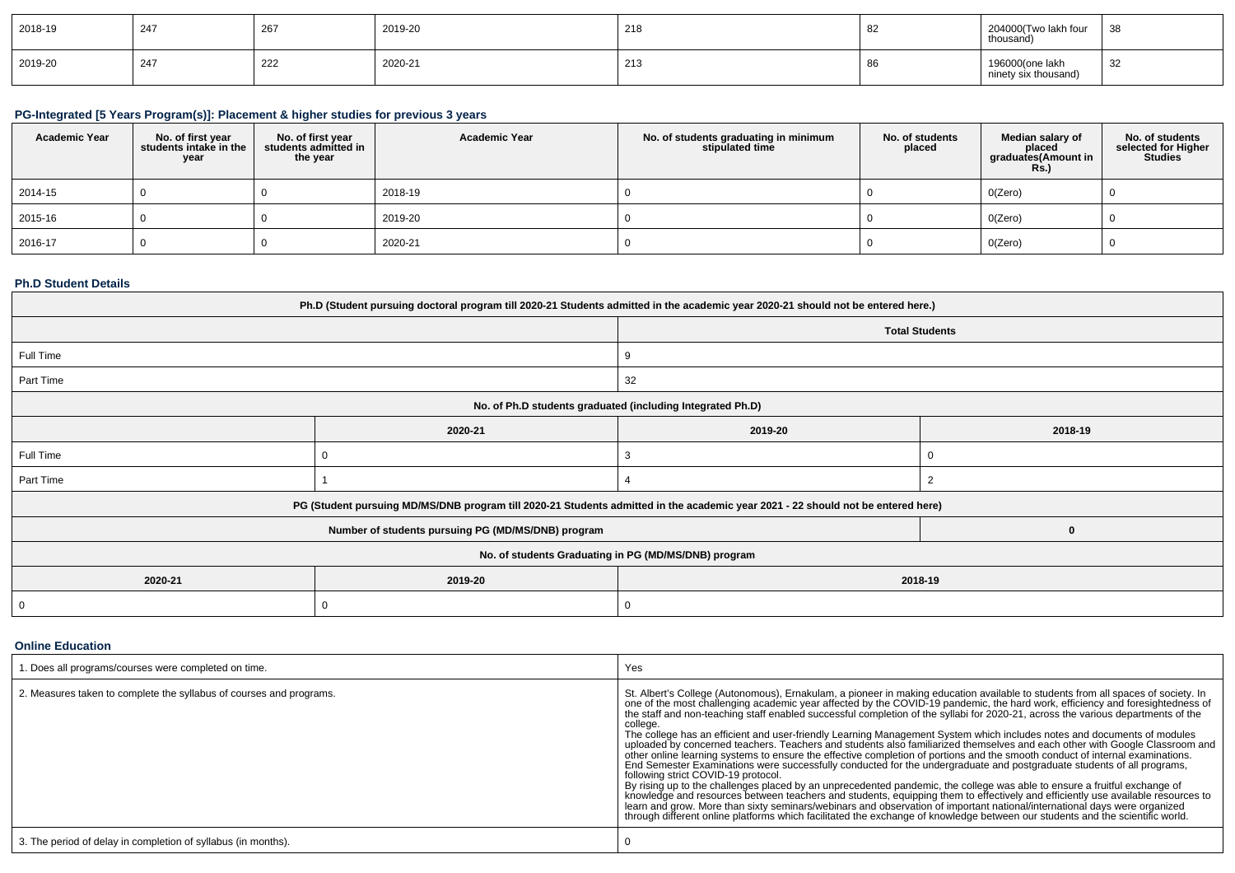| 2018-19 | 247 | $\sim$<br>-∠o | 2019-20 | $\sim$<br>21 d | ັບ∠ | 204000(Two lakh four<br>thousand)       | 38 |
|---------|-----|---------------|---------|----------------|-----|-----------------------------------------|----|
| 2019-20 | 247 | 222           | 2020-21 | 213            | oc  | 196000(one lakh<br>ninety six thousand) | 32 |

## **PG-Integrated [5 Years Program(s)]: Placement & higher studies for previous 3 years**

| <b>Academic Year</b> | No. of first year<br>students intake in the<br>year | No. of first year<br>students admitted in<br>the year | <b>Academic Year</b> | No. of students graduating in minimum<br>stipulated time | No. of students<br>placed | Median salary of<br>placed<br>graduates(Amount in<br><b>Rs.)</b> | No. of students<br>selected for Higher<br><b>Studies</b> |
|----------------------|-----------------------------------------------------|-------------------------------------------------------|----------------------|----------------------------------------------------------|---------------------------|------------------------------------------------------------------|----------------------------------------------------------|
| 2014-15              |                                                     |                                                       | 2018-19              |                                                          |                           | O(Zero)                                                          |                                                          |
| 2015-16              |                                                     |                                                       | 2019-20              |                                                          |                           | O(Zero)                                                          |                                                          |
| 2016-17              |                                                     |                                                       | 2020-21              |                                                          |                           | O(Zero)                                                          |                                                          |

## **Ph.D Student Details**

| Ph.D (Student pursuing doctoral program till 2020-21 Students admitted in the academic year 2020-21 should not be entered here.) |                                                                                                                                  |                                                            |   |  |  |  |
|----------------------------------------------------------------------------------------------------------------------------------|----------------------------------------------------------------------------------------------------------------------------------|------------------------------------------------------------|---|--|--|--|
|                                                                                                                                  |                                                                                                                                  | <b>Total Students</b>                                      |   |  |  |  |
| Full Time                                                                                                                        |                                                                                                                                  | 9                                                          |   |  |  |  |
| Part Time                                                                                                                        |                                                                                                                                  | 32                                                         |   |  |  |  |
|                                                                                                                                  |                                                                                                                                  | No. of Ph.D students graduated (including Integrated Ph.D) |   |  |  |  |
|                                                                                                                                  | 2020-21                                                                                                                          | 2019-20<br>2018-19                                         |   |  |  |  |
| Full Time                                                                                                                        |                                                                                                                                  |                                                            |   |  |  |  |
| Part Time                                                                                                                        |                                                                                                                                  |                                                            |   |  |  |  |
|                                                                                                                                  | PG (Student pursuing MD/MS/DNB program till 2020-21 Students admitted in the academic year 2021 - 22 should not be entered here) |                                                            |   |  |  |  |
|                                                                                                                                  | Number of students pursuing PG (MD/MS/DNB) program                                                                               |                                                            | 0 |  |  |  |
| No. of students Graduating in PG (MD/MS/DNB) program                                                                             |                                                                                                                                  |                                                            |   |  |  |  |
| 2020-21                                                                                                                          | 2019-20                                                                                                                          | 2018-19                                                    |   |  |  |  |
|                                                                                                                                  |                                                                                                                                  | 0                                                          |   |  |  |  |

## **Online Education**

| . Does all programs/courses were completed on time.                 | Yes                                                                                                                                                                                                                                                                                                                                                                                                                                                                                                                                                                                                                                                                                                                                                                                                                                                                                                                                                                                                                                                                                                                                                                                                                                                                                                                                                                                                                                                                                                         |
|---------------------------------------------------------------------|-------------------------------------------------------------------------------------------------------------------------------------------------------------------------------------------------------------------------------------------------------------------------------------------------------------------------------------------------------------------------------------------------------------------------------------------------------------------------------------------------------------------------------------------------------------------------------------------------------------------------------------------------------------------------------------------------------------------------------------------------------------------------------------------------------------------------------------------------------------------------------------------------------------------------------------------------------------------------------------------------------------------------------------------------------------------------------------------------------------------------------------------------------------------------------------------------------------------------------------------------------------------------------------------------------------------------------------------------------------------------------------------------------------------------------------------------------------------------------------------------------------|
| 2. Measures taken to complete the syllabus of courses and programs. | St. Albert's College (Autonomous), Ernakulam, a pioneer in making education available to students from all spaces of society. In<br>one of the most challenging academic year affected by the COVID-19 pandemic, the hard work, efficiency and foresightedness of<br>the staff and non-teaching staff enabled successful completion of the syllabi for 2020-21, across the various departments of the<br>college.<br>The college has an efficient and user-friendly Learning Management System which includes notes and documents of modules<br>uploaded by concerned teachers. Teachers and students also familiarized themselves and each other with Google Classroom and<br>other online learning systems to ensure the effective completion of portions and the smooth conduct of internal examinations.<br>End Semester Examinations were successfully conducted for the undergraduate and postgraduate students of all programs,<br>following strict COVID-19 protocol.<br>By rising up to the challenges placed by an unprecedented pandemic, the college was able to ensure a fruitful exchange of<br>knowledge and resources between teachers and students, equipping them to effectively and efficiently use available resources to<br>learn and grow. More than sixty seminars/webinars and observation of important national/international days were organized<br>through different online platforms which facilitated the exchange of knowledge between our students and the scientific world. |
| 3. The period of delay in completion of syllabus (in months).       |                                                                                                                                                                                                                                                                                                                                                                                                                                                                                                                                                                                                                                                                                                                                                                                                                                                                                                                                                                                                                                                                                                                                                                                                                                                                                                                                                                                                                                                                                                             |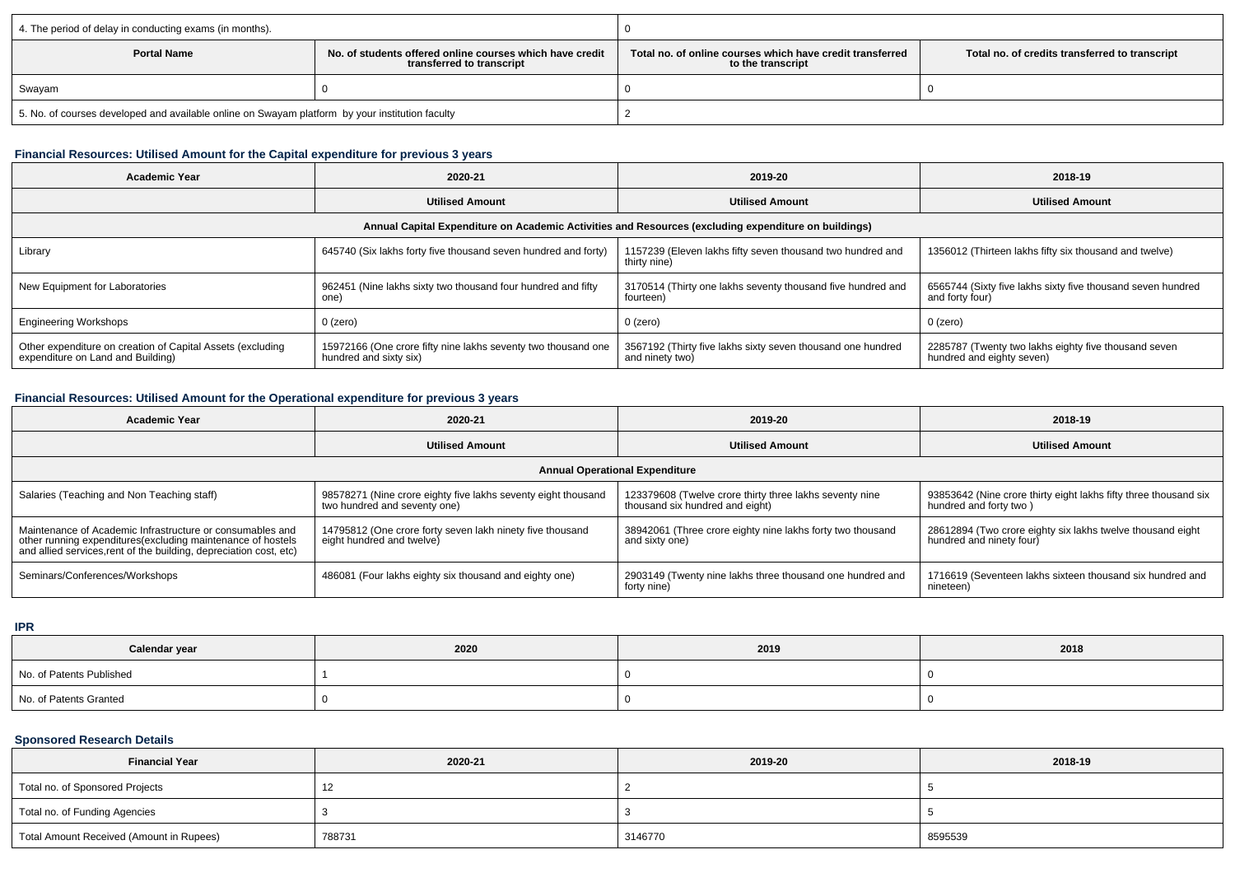| 4. The period of delay in conducting exams (in months).                                                     |  |                                                                                                                                  |  |  |
|-------------------------------------------------------------------------------------------------------------|--|----------------------------------------------------------------------------------------------------------------------------------|--|--|
| No, of students offered online courses which have credit<br><b>Portal Name</b><br>transferred to transcript |  | Total no, of online courses which have credit transferred<br>Total no. of credits transferred to transcript<br>to the transcript |  |  |
| Swayam                                                                                                      |  |                                                                                                                                  |  |  |
| 5. No. of courses developed and available online on Swayam platform by your institution faculty             |  |                                                                                                                                  |  |  |

## **Financial Resources: Utilised Amount for the Capital expenditure for previous 3 years**

| <b>Academic Year</b>                                                                                 | 2020-21                                                                                 | 2019-20                                                                        | 2018-19                                                                           |  |  |  |  |
|------------------------------------------------------------------------------------------------------|-----------------------------------------------------------------------------------------|--------------------------------------------------------------------------------|-----------------------------------------------------------------------------------|--|--|--|--|
|                                                                                                      | <b>Utilised Amount</b>                                                                  | <b>Utilised Amount</b>                                                         | <b>Utilised Amount</b>                                                            |  |  |  |  |
| Annual Capital Expenditure on Academic Activities and Resources (excluding expenditure on buildings) |                                                                                         |                                                                                |                                                                                   |  |  |  |  |
| Library                                                                                              | 645740 (Six lakhs forty five thousand seven hundred and forty)                          | 1157239 (Eleven lakhs fifty seven thousand two hundred and<br>thirty nine)     | 1356012 (Thirteen lakhs fifty six thousand and twelve)                            |  |  |  |  |
| New Equipment for Laboratories                                                                       | 962451 (Nine lakhs sixty two thousand four hundred and fifty<br>one                     | 3170514 (Thirty one lakhs seventy thousand five hundred and<br>fourteen)       | 6565744 (Sixty five lakhs sixty five thousand seven hundred<br>and forty four     |  |  |  |  |
| <b>Engineering Workshops</b>                                                                         | 0 (zero)                                                                                | 0 (zero)                                                                       | $0$ (zero)                                                                        |  |  |  |  |
| Other expenditure on creation of Capital Assets (excluding<br>expenditure on Land and Building)      | 15972166 (One crore fifty nine lakhs seventy two thousand one<br>hundred and sixty six) | 3567192 (Thirty five lakhs sixty seven thousand one hundred<br>and ninety two) | 2285787 (Twenty two lakhs eighty five thousand seven<br>hundred and eighty seven) |  |  |  |  |

## **Financial Resources: Utilised Amount for the Operational expenditure for previous 3 years**

| <b>Academic Year</b>                                                                                                                                                                           | 2020-21                                                                                       | 2019-20                                                                                    | 2018-19                                                                                    |  |  |  |  |
|------------------------------------------------------------------------------------------------------------------------------------------------------------------------------------------------|-----------------------------------------------------------------------------------------------|--------------------------------------------------------------------------------------------|--------------------------------------------------------------------------------------------|--|--|--|--|
|                                                                                                                                                                                                | <b>Utilised Amount</b>                                                                        | <b>Utilised Amount</b>                                                                     | <b>Utilised Amount</b>                                                                     |  |  |  |  |
| <b>Annual Operational Expenditure</b>                                                                                                                                                          |                                                                                               |                                                                                            |                                                                                            |  |  |  |  |
| Salaries (Teaching and Non Teaching staff)                                                                                                                                                     | 98578271 (Nine crore eighty five lakhs seventy eight thousand<br>two hundred and seventy one) | 123379608 (Twelve crore thirty three lakhs seventy nine<br>thousand six hundred and eight) | 93853642 (Nine crore thirty eight lakhs fifty three thousand six<br>hundred and forty two) |  |  |  |  |
| Maintenance of Academic Infrastructure or consumables and<br>other running expenditures(excluding maintenance of hostels<br>and allied services, rent of the building, depreciation cost, etc) | 14795812 (One crore forty seven lakh ninety five thousand<br>eight hundred and twelve)        | 38942061 (Three crore eighty nine lakhs forty two thousand<br>and sixty one)               | 28612894 (Two crore eighty six lakhs twelve thousand eight<br>hundred and ninety four)     |  |  |  |  |
| Seminars/Conferences/Workshops                                                                                                                                                                 | 486081 (Four lakhs eighty six thousand and eighty one)                                        | 2903149 (Twenty nine lakhs three thousand one hundred and<br>forty nine)                   | 1716619 (Seventeen lakhs sixteen thousand six hundred and<br>nineteen)                     |  |  |  |  |

**IPR**

| Calendar year            | 2020 | 2019 | 2018 |
|--------------------------|------|------|------|
| No. of Patents Published |      |      |      |
| No. of Patents Granted   |      |      |      |

## **Sponsored Research Details**

| <b>Financial Year</b>                    | 2020-21 | 2019-20 | 2018-19 |
|------------------------------------------|---------|---------|---------|
| Total no. of Sponsored Projects          |         |         |         |
| Total no. of Funding Agencies            |         |         |         |
| Total Amount Received (Amount in Rupees) | 788731  | 3146770 | 8595539 |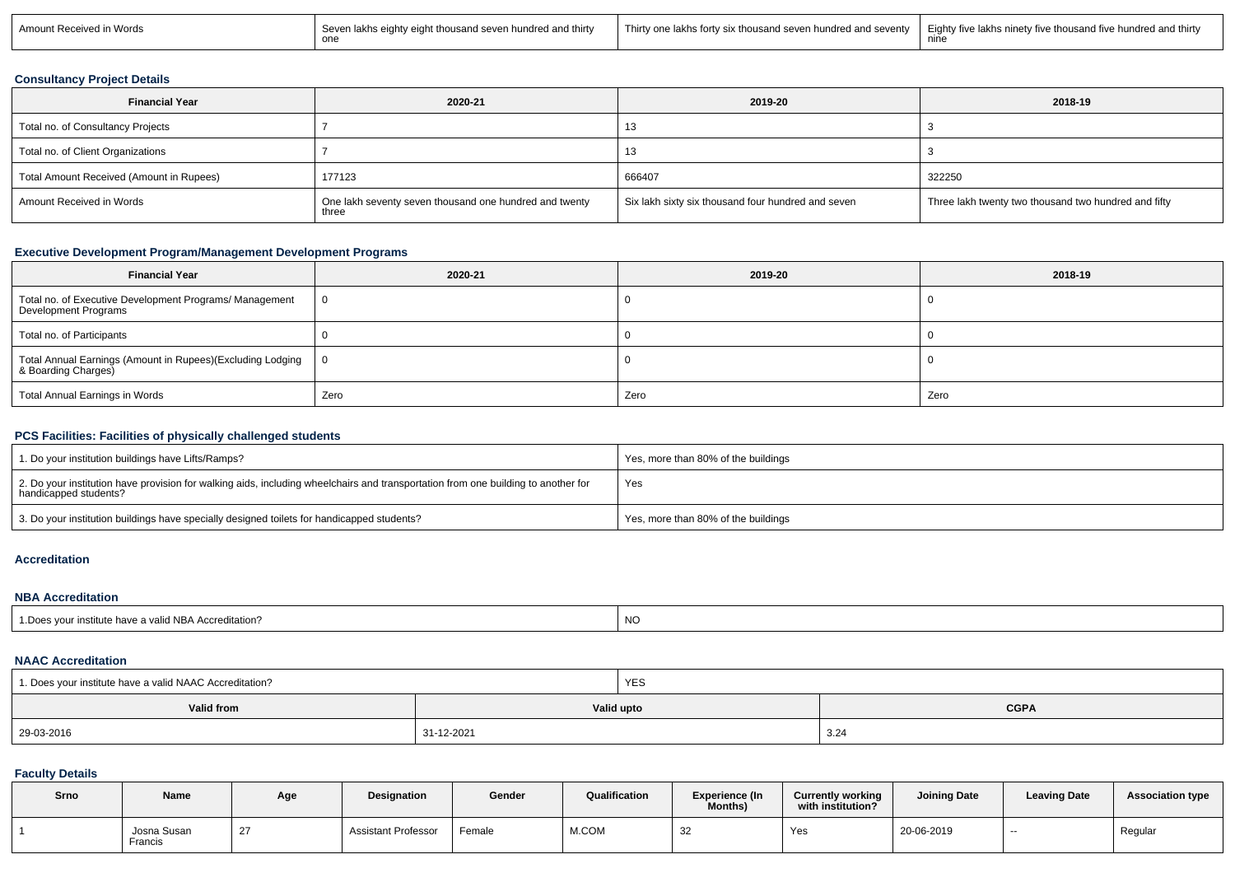| Words<br>Amount Rec<br>ed in<br>æived | Seven<br>hundred and thirty<br>n lakhs eighty eight thousand seven l<br>one | <b>This</b><br>and seventy<br>irty one lakhs i<br>s forty six thousand seven hundred a | Eighty five lakhs ninety five thousand five he<br>ndred and thirty!'<br>nundrec<br>nin |
|---------------------------------------|-----------------------------------------------------------------------------|----------------------------------------------------------------------------------------|----------------------------------------------------------------------------------------|
|---------------------------------------|-----------------------------------------------------------------------------|----------------------------------------------------------------------------------------|----------------------------------------------------------------------------------------|

## **Consultancy Project Details**

| <b>Financial Year</b>                    | 2020-21                                                         | 2019-20                                            | 2018-19                                              |
|------------------------------------------|-----------------------------------------------------------------|----------------------------------------------------|------------------------------------------------------|
| Total no. of Consultancy Projects        |                                                                 | 13                                                 |                                                      |
| Total no. of Client Organizations        |                                                                 | 13                                                 |                                                      |
| Total Amount Received (Amount in Rupees) | 177123                                                          | 666407                                             | 322250                                               |
| Amount Received in Words                 | One lakh seventy seven thousand one hundred and twenty<br>three | Six lakh sixty six thousand four hundred and seven | Three lakh twenty two thousand two hundred and fifty |

## **Executive Development Program/Management Development Programs**

| <b>Financial Year</b>                                                             | 2020-21 | 2019-20 | 2018-19 |
|-----------------------------------------------------------------------------------|---------|---------|---------|
| Total no. of Executive Development Programs/ Management<br>Development Programs   |         |         |         |
| Total no. of Participants                                                         |         |         |         |
| Total Annual Earnings (Amount in Rupees)(Excluding Lodging<br>& Boarding Charges) |         |         |         |
| Total Annual Earnings in Words                                                    | Zero    | Zero    | Zero    |

# **PCS Facilities: Facilities of physically challenged students**

| 1. Do your institution buildings have Lifts/Ramps?                                                                                                         | Yes, more than 80% of the buildings |
|------------------------------------------------------------------------------------------------------------------------------------------------------------|-------------------------------------|
| 2. Do your institution have provision for walking aids, including wheelchairs and transportation from one building to another for<br>handicapped students? | Yes                                 |
| 3. Do your institution buildings have specially designed toilets for handicapped students?                                                                 | Yes, more than 80% of the buildings |

#### **Accreditation**

#### **NBA Accreditation**

| s your institute have a valid NBA Accreditation?<br>1.Does | <b>NO</b> |
|------------------------------------------------------------|-----------|
|                                                            |           |

## **NAAC Accreditation**

| 1. Does your institute have a valid NAAC Accreditation? |            | <b>YES</b> |             |
|---------------------------------------------------------|------------|------------|-------------|
| Valid from                                              |            | Valid upto | <b>CGPA</b> |
| 29-03-2016                                              | 31-12-2021 |            | 3.24        |

## **Faculty Details**

| Srno | <b>Name</b>            | Age | <b>Designation</b>         | Gender | Qualification | Experience (In<br>Months) | <b>Currently working</b><br>with institution? | <b>Joining Date</b> | <b>Leaving Date</b> | <b>Association type</b> |
|------|------------------------|-----|----------------------------|--------|---------------|---------------------------|-----------------------------------------------|---------------------|---------------------|-------------------------|
|      | Josna Susan<br>Francis |     | <b>Assistant Professor</b> | Female | M.COM         | ےں                        | Yes                                           | 20-06-2019          | $-$                 | Regular                 |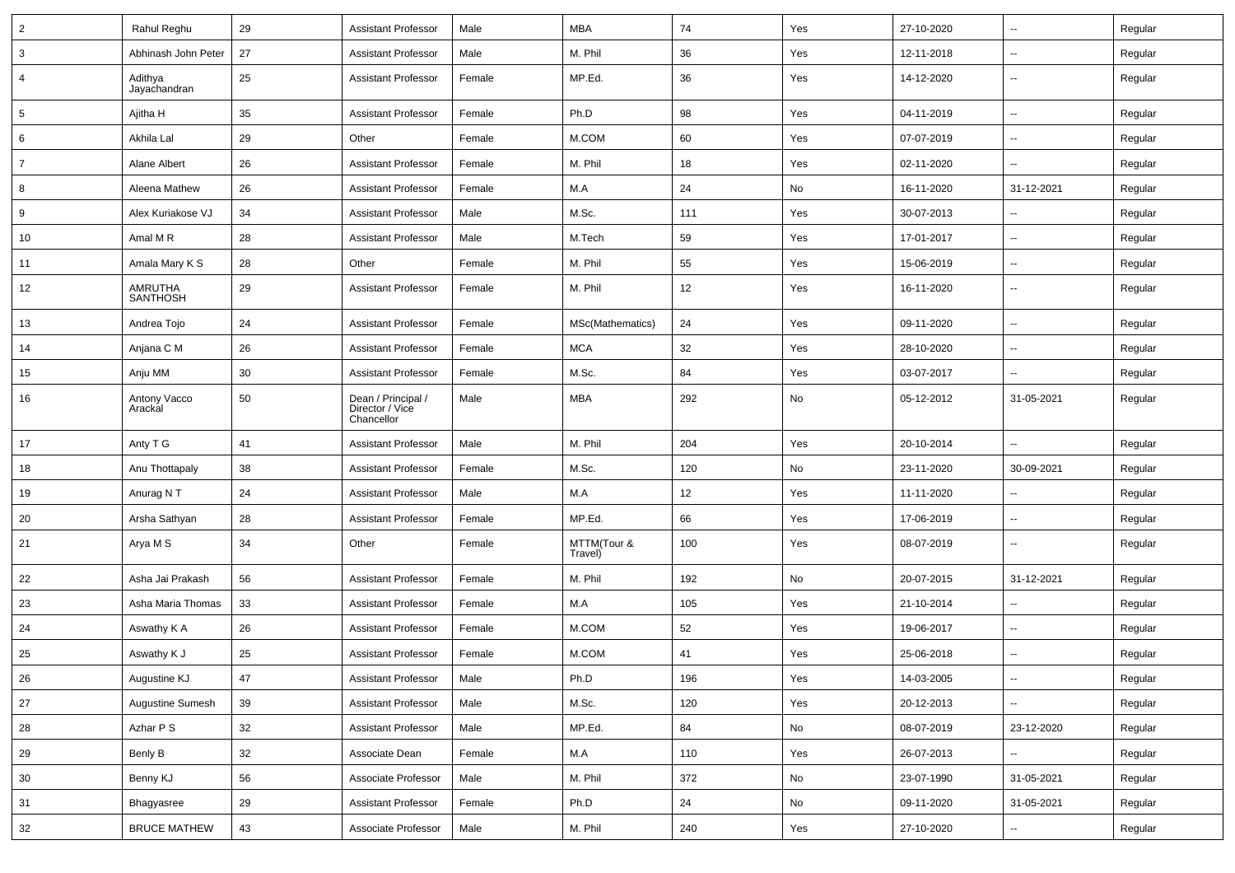| $\overline{2}$  | Rahul Reghu                | 29 | <b>Assistant Professor</b>                          | Male   | <b>MBA</b>             | 74  | Yes | 27-10-2020 | ⊷.                       | Regular |
|-----------------|----------------------------|----|-----------------------------------------------------|--------|------------------------|-----|-----|------------|--------------------------|---------|
| 3               | Abhinash John Peter        | 27 | <b>Assistant Professor</b>                          | Male   | M. Phil                | 36  | Yes | 12-11-2018 | $\overline{\phantom{a}}$ | Regular |
| $\overline{4}$  | Adithya<br>Jayachandran    | 25 | <b>Assistant Professor</b>                          | Female | MP.Ed.                 | 36  | Yes | 14-12-2020 | --                       | Regular |
| $5\phantom{.0}$ | Ajitha H                   | 35 | <b>Assistant Professor</b>                          | Female | Ph.D                   | 98  | Yes | 04-11-2019 | $\overline{\phantom{a}}$ | Regular |
| 6               | Akhila Lal                 | 29 | Other                                               | Female | M.COM                  | 60  | Yes | 07-07-2019 | н.                       | Regular |
| $\overline{7}$  | Alane Albert               | 26 | <b>Assistant Professor</b>                          | Female | M. Phil                | 18  | Yes | 02-11-2020 | $\mathbf{u}$             | Regular |
| 8               | Aleena Mathew              | 26 | <b>Assistant Professor</b>                          | Female | M.A                    | 24  | No  | 16-11-2020 | 31-12-2021               | Regular |
| 9               | Alex Kuriakose VJ          | 34 | <b>Assistant Professor</b>                          | Male   | M.Sc.                  | 111 | Yes | 30-07-2013 | ⊷.                       | Regular |
| 10              | Amal M R                   | 28 | <b>Assistant Professor</b>                          | Male   | M.Tech                 | 59  | Yes | 17-01-2017 | $\overline{\phantom{a}}$ | Regular |
| 11              | Amala Mary K S             | 28 | Other                                               | Female | M. Phil                | 55  | Yes | 15-06-2019 | $\overline{\phantom{a}}$ | Regular |
| 12              | AMRUTHA<br><b>SANTHOSH</b> | 29 | <b>Assistant Professor</b>                          | Female | M. Phil                | 12  | Yes | 16-11-2020 | -−                       | Regular |
| 13              | Andrea Tojo                | 24 | <b>Assistant Professor</b>                          | Female | MSc(Mathematics)       | 24  | Yes | 09-11-2020 | $\overline{a}$           | Regular |
| 14              | Anjana C M                 | 26 | <b>Assistant Professor</b>                          | Female | <b>MCA</b>             | 32  | Yes | 28-10-2020 | $\overline{\phantom{a}}$ | Regular |
| 15              | Anju MM                    | 30 | <b>Assistant Professor</b>                          | Female | M.Sc.                  | 84  | Yes | 03-07-2017 | $\sim$                   | Regular |
| 16              | Antony Vacco<br>Arackal    | 50 | Dean / Principal /<br>Director / Vice<br>Chancellor | Male   | <b>MBA</b>             | 292 | No  | 05-12-2012 | 31-05-2021               | Regular |
| 17              | Anty T G                   | 41 | <b>Assistant Professor</b>                          | Male   | M. Phil                | 204 | Yes | 20-10-2014 | Ξ.                       | Regular |
| 18              | Anu Thottapaly             | 38 | Assistant Professor                                 | Female | M.Sc.                  | 120 | No  | 23-11-2020 | 30-09-2021               | Regular |
| 19              | Anurag N T                 | 24 | <b>Assistant Professor</b>                          | Male   | M.A                    | 12  | Yes | 11-11-2020 | Ξ.                       | Regular |
| 20              | Arsha Sathyan              | 28 | <b>Assistant Professor</b>                          | Female | MP.Ed.                 | 66  | Yes | 17-06-2019 | $\overline{\phantom{a}}$ | Regular |
| 21              | Arya M S                   | 34 | Other                                               | Female | MTTM(Tour &<br>Travel) | 100 | Yes | 08-07-2019 | --                       | Regular |
| 22              | Asha Jai Prakash           | 56 | <b>Assistant Professor</b>                          | Female | M. Phil                | 192 | No  | 20-07-2015 | 31-12-2021               | Regular |
| 23              | Asha Maria Thomas          | 33 | <b>Assistant Professor</b>                          | Female | M.A                    | 105 | Yes | 21-10-2014 | $\overline{\phantom{a}}$ | Regular |
| 24              | Aswathy K A                | 26 | Assistant Professor                                 | Female | M.COM                  | 52  | Yes | 19-06-2017 | ⊷.                       | Regular |
| 25              | Aswathy K J                | 25 | <b>Assistant Professor</b>                          | Female | M.COM                  | 41  | Yes | 25-06-2018 | ⊷.                       | Regular |
| 26              | Augustine KJ               | 47 | <b>Assistant Professor</b>                          | Male   | Ph.D                   | 196 | Yes | 14-03-2005 | $\overline{\phantom{a}}$ | Regular |
| 27              | Augustine Sumesh           | 39 | <b>Assistant Professor</b>                          | Male   | M.Sc.                  | 120 | Yes | 20-12-2013 | $\sim$                   | Regular |
| 28              | Azhar P S                  | 32 | <b>Assistant Professor</b>                          | Male   | MP.Ed.                 | 84  | No  | 08-07-2019 | 23-12-2020               | Regular |
| 29              | Benly B                    | 32 | Associate Dean                                      | Female | M.A                    | 110 | Yes | 26-07-2013 | Щ,                       | Regular |
| 30              | Benny KJ                   | 56 | Associate Professor                                 | Male   | M. Phil                | 372 | No  | 23-07-1990 | 31-05-2021               | Regular |
| 31              | Bhagyasree                 | 29 | <b>Assistant Professor</b>                          | Female | Ph.D                   | 24  | No  | 09-11-2020 | 31-05-2021               | Regular |
| 32              | <b>BRUCE MATHEW</b>        | 43 | Associate Professor                                 | Male   | M. Phil                | 240 | Yes | 27-10-2020 | н,                       | Regular |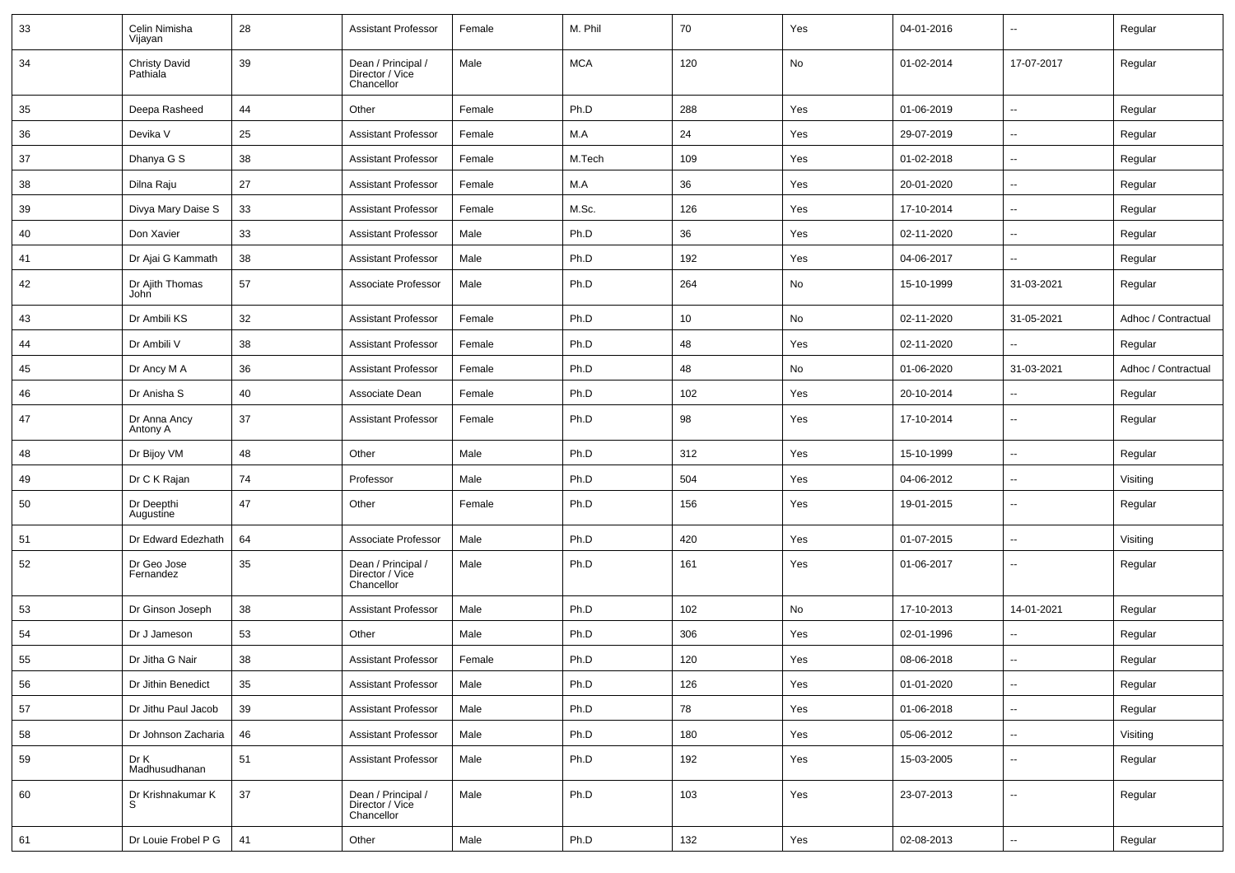| 33 | Celin Nimisha<br>Vijayan         | 28     | <b>Assistant Professor</b>                          | Female | M. Phil    | 70  | Yes | 04-01-2016 | $\overline{\phantom{a}}$ | Regular             |
|----|----------------------------------|--------|-----------------------------------------------------|--------|------------|-----|-----|------------|--------------------------|---------------------|
| 34 | <b>Christy David</b><br>Pathiala | 39     | Dean / Principal /<br>Director / Vice<br>Chancellor | Male   | <b>MCA</b> | 120 | No  | 01-02-2014 | 17-07-2017               | Regular             |
| 35 | Deepa Rasheed                    | 44     | Other                                               | Female | Ph.D       | 288 | Yes | 01-06-2019 | $\sim$                   | Regular             |
| 36 | Devika V                         | 25     | Assistant Professor                                 | Female | M.A        | 24  | Yes | 29-07-2019 | $\overline{\phantom{a}}$ | Regular             |
| 37 | Dhanya G S                       | 38     | <b>Assistant Professor</b>                          | Female | M.Tech     | 109 | Yes | 01-02-2018 | $\overline{\phantom{a}}$ | Regular             |
| 38 | Dilna Raju                       | 27     | <b>Assistant Professor</b>                          | Female | M.A        | 36  | Yes | 20-01-2020 | $\overline{\phantom{a}}$ | Regular             |
| 39 | Divya Mary Daise S               | 33     | <b>Assistant Professor</b>                          | Female | M.Sc.      | 126 | Yes | 17-10-2014 | --                       | Regular             |
| 40 | Don Xavier                       | 33     | <b>Assistant Professor</b>                          | Male   | Ph.D       | 36  | Yes | 02-11-2020 | $\overline{\phantom{a}}$ | Regular             |
| 41 | Dr Ajai G Kammath                | 38     | <b>Assistant Professor</b>                          | Male   | Ph.D       | 192 | Yes | 04-06-2017 | Ξ.                       | Regular             |
| 42 | Dr Ajith Thomas<br>John          | 57     | Associate Professor                                 | Male   | Ph.D       | 264 | No  | 15-10-1999 | 31-03-2021               | Regular             |
| 43 | Dr Ambili KS                     | 32     | <b>Assistant Professor</b>                          | Female | Ph.D       | 10  | No  | 02-11-2020 | 31-05-2021               | Adhoc / Contractual |
| 44 | Dr Ambili V                      | 38     | <b>Assistant Professor</b>                          | Female | Ph.D       | 48  | Yes | 02-11-2020 | $\overline{\phantom{a}}$ | Regular             |
| 45 | Dr Ancy M A                      | 36     | <b>Assistant Professor</b>                          | Female | Ph.D       | 48  | No  | 01-06-2020 | 31-03-2021               | Adhoc / Contractual |
| 46 | Dr Anisha S                      | 40     | Associate Dean                                      | Female | Ph.D       | 102 | Yes | 20-10-2014 | --                       | Regular             |
| 47 | Dr Anna Ancy<br>Antony A         | 37     | <b>Assistant Professor</b>                          | Female | Ph.D       | 98  | Yes | 17-10-2014 | $\overline{\phantom{a}}$ | Regular             |
| 48 | Dr Bijoy VM                      | 48     | Other                                               | Male   | Ph.D       | 312 | Yes | 15-10-1999 | $\overline{\phantom{a}}$ | Regular             |
| 49 | Dr C K Rajan                     | 74     | Professor                                           | Male   | Ph.D       | 504 | Yes | 04-06-2012 | $\sim$                   | Visiting            |
| 50 | Dr Deepthi<br>Augustine          | 47     | Other                                               | Female | Ph.D       | 156 | Yes | 19-01-2015 | $\overline{\phantom{a}}$ | Regular             |
| 51 | Dr Edward Edezhath               | 64     | Associate Professor                                 | Male   | Ph.D       | 420 | Yes | 01-07-2015 | $\overline{\phantom{a}}$ | Visiting            |
| 52 | Dr Geo Jose<br>Fernandez         | 35     | Dean / Principal /<br>Director / Vice<br>Chancellor | Male   | Ph.D       | 161 | Yes | 01-06-2017 | $\overline{\phantom{a}}$ | Regular             |
| 53 | Dr Ginson Joseph                 | 38     | <b>Assistant Professor</b>                          | Male   | Ph.D       | 102 | No  | 17-10-2013 | 14-01-2021               | Regular             |
| 54 | Dr J Jameson                     | 53     | Other                                               | Male   | Ph.D       | 306 | Yes | 02-01-1996 | $\overline{\phantom{a}}$ | Regular             |
| 55 | Dr Jitha G Nair                  | 38     | <b>Assistant Professor</b>                          | Female | Ph.D       | 120 | Yes | 08-06-2018 | $\overline{\phantom{a}}$ | Regular             |
| 56 | Dr Jithin Benedict               | 35     | <b>Assistant Professor</b>                          | Male   | Ph.D       | 126 | Yes | 01-01-2020 | --                       | Regular             |
| 57 | Dr Jithu Paul Jacob              | 39     | <b>Assistant Professor</b>                          | Male   | Ph.D       | 78  | Yes | 01-06-2018 | Ц.                       | Regular             |
| 58 | Dr Johnson Zacharia              | 46     | <b>Assistant Professor</b>                          | Male   | Ph.D       | 180 | Yes | 05-06-2012 | $\sim$                   | Visiting            |
| 59 | Dr K<br>Madhusudhanan            | 51     | <b>Assistant Professor</b>                          | Male   | Ph.D       | 192 | Yes | 15-03-2005 | Ξ.                       | Regular             |
| 60 | Dr Krishnakumar K                | $37\,$ | Dean / Principal /<br>Director / Vice<br>Chancellor | Male   | Ph.D       | 103 | Yes | 23-07-2013 | Ξ.                       | Regular             |
| 61 | Dr Louie Frobel P G              | 41     | Other                                               | Male   | Ph.D       | 132 | Yes | 02-08-2013 | $\sim$                   | Regular             |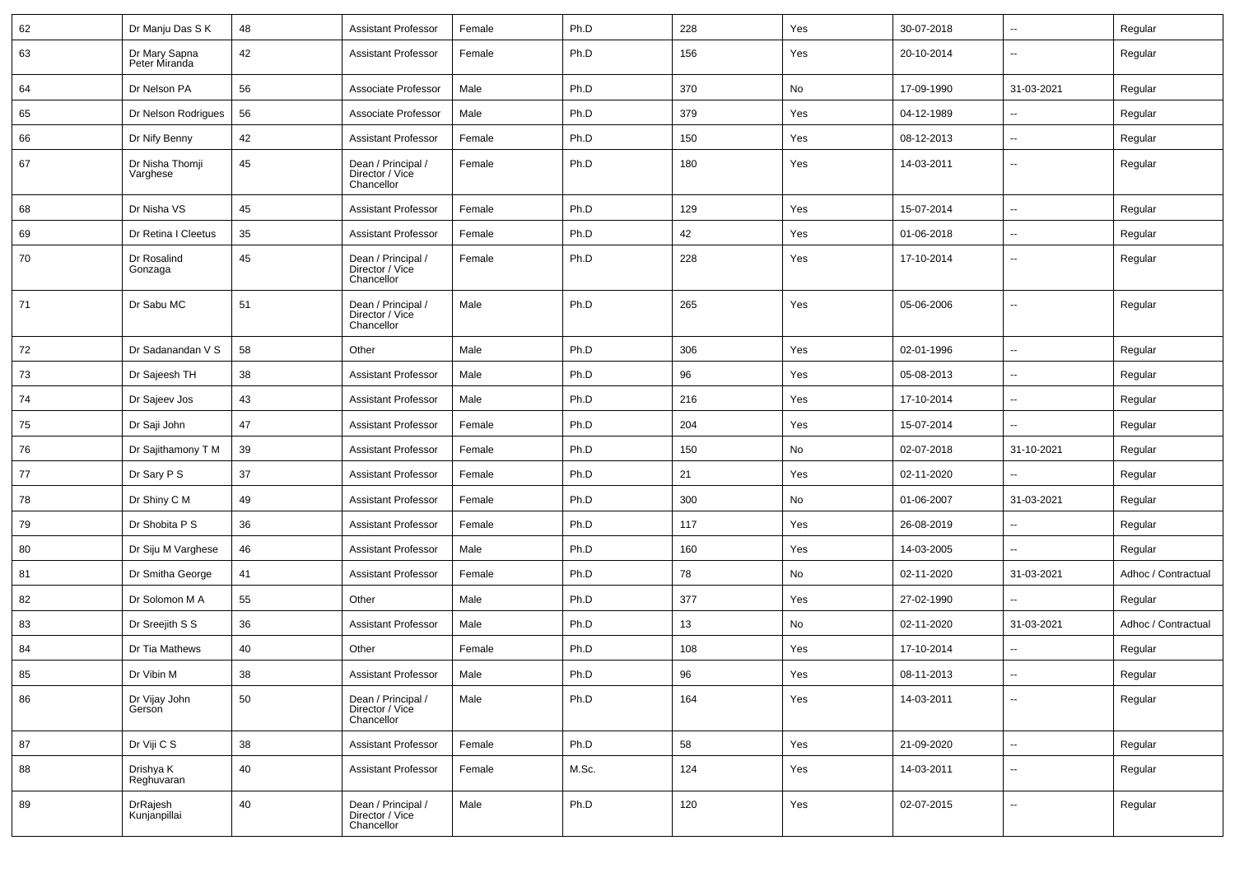| 62 | Dr Manju Das S K               | 48 | <b>Assistant Professor</b>                          | Female | Ph.D  | 228 | Yes | 30-07-2018 | $\sim$                   | Regular             |
|----|--------------------------------|----|-----------------------------------------------------|--------|-------|-----|-----|------------|--------------------------|---------------------|
| 63 | Dr Mary Sapna<br>Peter Miranda | 42 | <b>Assistant Professor</b>                          | Female | Ph.D  | 156 | Yes | 20-10-2014 | $\overline{\phantom{a}}$ | Regular             |
| 64 | Dr Nelson PA                   | 56 | Associate Professor                                 | Male   | Ph.D  | 370 | No  | 17-09-1990 | 31-03-2021               | Regular             |
| 65 | Dr Nelson Rodrigues            | 56 | Associate Professor                                 | Male   | Ph.D  | 379 | Yes | 04-12-1989 |                          | Regular             |
| 66 | Dr Nify Benny                  | 42 | <b>Assistant Professor</b>                          | Female | Ph.D  | 150 | Yes | 08-12-2013 | $\sim$                   | Regular             |
| 67 | Dr Nisha Thomji<br>Varghese    | 45 | Dean / Principal /<br>Director / Vice<br>Chancellor | Female | Ph.D  | 180 | Yes | 14-03-2011 | $\overline{\phantom{a}}$ | Regular             |
| 68 | Dr Nisha VS                    | 45 | <b>Assistant Professor</b>                          | Female | Ph.D  | 129 | Yes | 15-07-2014 | $\sim$                   | Regular             |
| 69 | Dr Retina I Cleetus            | 35 | <b>Assistant Professor</b>                          | Female | Ph.D  | 42  | Yes | 01-06-2018 | $\sim$                   | Regular             |
| 70 | Dr Rosalind<br>Gonzaga         | 45 | Dean / Principal /<br>Director / Vice<br>Chancellor | Female | Ph.D  | 228 | Yes | 17-10-2014 | $\overline{\phantom{a}}$ | Regular             |
| 71 | Dr Sabu MC                     | 51 | Dean / Principal /<br>Director / Vice<br>Chancellor | Male   | Ph.D  | 265 | Yes | 05-06-2006 | $\overline{\phantom{a}}$ | Regular             |
| 72 | Dr Sadanandan V S              | 58 | Other                                               | Male   | Ph.D  | 306 | Yes | 02-01-1996 | $\overline{\phantom{a}}$ | Regular             |
| 73 | Dr Sajeesh TH                  | 38 | <b>Assistant Professor</b>                          | Male   | Ph.D  | 96  | Yes | 05-08-2013 | $\sim$                   | Regular             |
| 74 | Dr Sajeev Jos                  | 43 | <b>Assistant Professor</b>                          | Male   | Ph.D  | 216 | Yes | 17-10-2014 | $\sim$                   | Regular             |
| 75 | Dr Saji John                   | 47 | <b>Assistant Professor</b>                          | Female | Ph.D  | 204 | Yes | 15-07-2014 | $\sim$                   | Regular             |
| 76 | Dr Sajithamony T M             | 39 | <b>Assistant Professor</b>                          | Female | Ph.D  | 150 | No  | 02-07-2018 | 31-10-2021               | Regular             |
| 77 | Dr Sary P S                    | 37 | <b>Assistant Professor</b>                          | Female | Ph.D  | 21  | Yes | 02-11-2020 | $\mathbf{u}$             | Regular             |
| 78 | Dr Shiny C M                   | 49 | <b>Assistant Professor</b>                          | Female | Ph.D  | 300 | No  | 01-06-2007 | 31-03-2021               | Regular             |
| 79 | Dr Shobita P S                 | 36 | <b>Assistant Professor</b>                          | Female | Ph.D  | 117 | Yes | 26-08-2019 |                          | Regular             |
| 80 | Dr Siju M Varghese             | 46 | <b>Assistant Professor</b>                          | Male   | Ph.D  | 160 | Yes | 14-03-2005 | $\overline{\phantom{a}}$ | Regular             |
| 81 | Dr Smitha George               | 41 | <b>Assistant Professor</b>                          | Female | Ph.D  | 78  | No  | 02-11-2020 | 31-03-2021               | Adhoc / Contractual |
| 82 | Dr Solomon M A                 | 55 | Other                                               | Male   | Ph.D  | 377 | Yes | 27-02-1990 | $\sim$                   | Regular             |
| 83 | Dr Sreejith S S                | 36 | <b>Assistant Professor</b>                          | Male   | Ph.D  | 13  | No  | 02-11-2020 | 31-03-2021               | Adhoc / Contractual |
| 84 | Dr Tia Mathews                 | 40 | Other                                               | Female | Ph.D  | 108 | Yes | 17-10-2014 | $\mathbf{u}$             | Regular             |
| 85 | Dr Vibin M                     | 38 | Assistant Professor                                 | Male   | Ph.D  | 96  | Yes | 08-11-2013 |                          | Regular             |
| 86 | Dr Vijay John<br>Gerson        | 50 | Dean / Principal /<br>Director / Vice<br>Chancellor | Male   | Ph.D  | 164 | Yes | 14-03-2011 | $\sim$                   | Regular             |
| 87 | Dr Viji C S                    | 38 | <b>Assistant Professor</b>                          | Female | Ph.D  | 58  | Yes | 21-09-2020 | $\sim$                   | Regular             |
| 88 | Drishya K<br>Reghuvaran        | 40 | Assistant Professor                                 | Female | M.Sc. | 124 | Yes | 14-03-2011 | $\sim$                   | Regular             |
| 89 | DrRajesh<br>Kunjanpillai       | 40 | Dean / Principal /<br>Director / Vice<br>Chancellor | Male   | Ph.D  | 120 | Yes | 02-07-2015 | $\sim$                   | Regular             |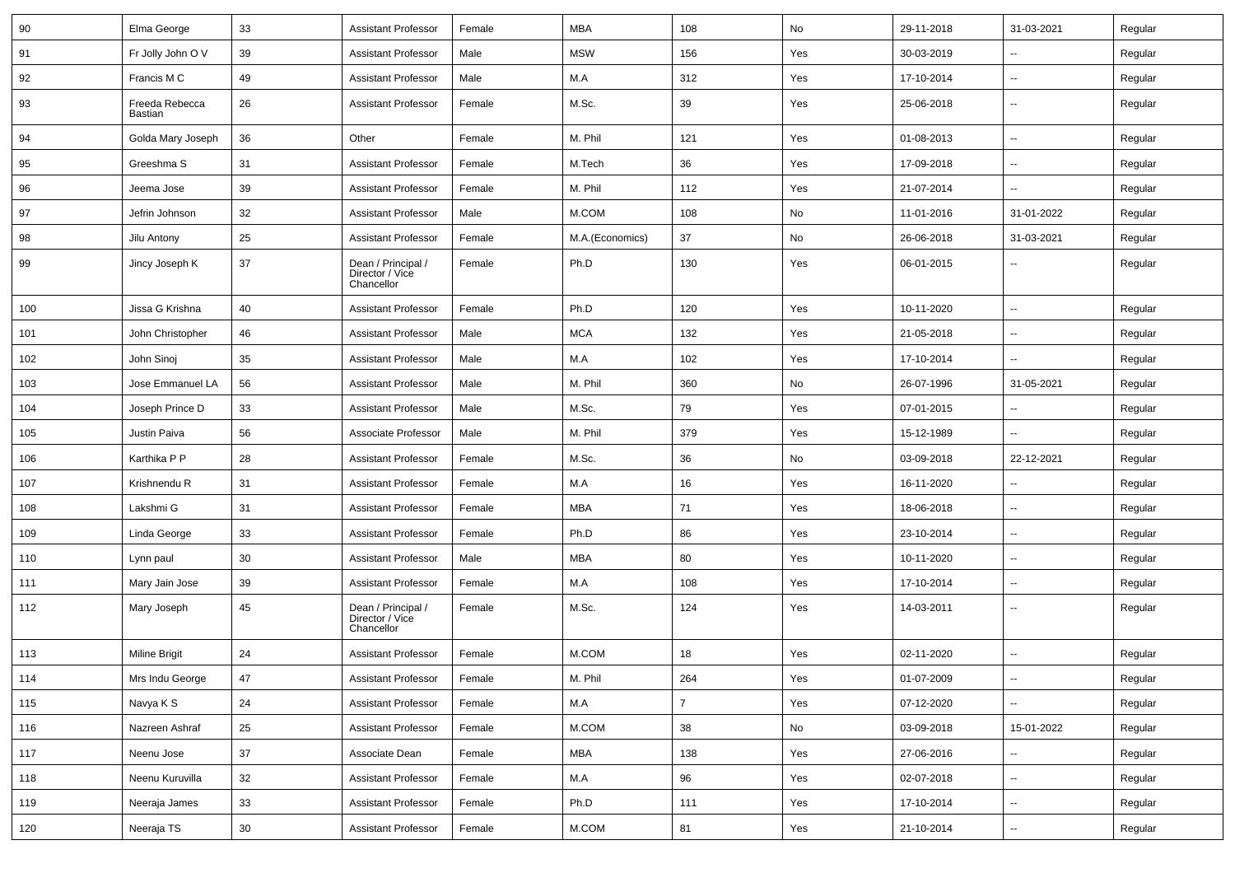| 90  | Elma George               | 33 | <b>Assistant Professor</b>                          | Female | MBA             | 108            | No  | 29-11-2018 | 31-03-2021               | Regular |
|-----|---------------------------|----|-----------------------------------------------------|--------|-----------------|----------------|-----|------------|--------------------------|---------|
| 91  | Fr Jolly John O V         | 39 | <b>Assistant Professor</b>                          | Male   | <b>MSW</b>      | 156            | Yes | 30-03-2019 | -−                       | Regular |
| 92  | Francis M C               | 49 | <b>Assistant Professor</b>                          | Male   | M.A             | 312            | Yes | 17-10-2014 | -−                       | Regular |
| 93  | Freeda Rebecca<br>Bastian | 26 | <b>Assistant Professor</b>                          | Female | M.Sc.           | 39             | Yes | 25-06-2018 | --                       | Regular |
| 94  | Golda Mary Joseph         | 36 | Other                                               | Female | M. Phil         | 121            | Yes | 01-08-2013 | --                       | Regular |
| 95  | Greeshma S                | 31 | <b>Assistant Professor</b>                          | Female | M.Tech          | 36             | Yes | 17-09-2018 | -−                       | Regular |
| 96  | Jeema Jose                | 39 | <b>Assistant Professor</b>                          | Female | M. Phil         | 112            | Yes | 21-07-2014 | $\overline{\phantom{a}}$ | Regular |
| 97  | Jefrin Johnson            | 32 | <b>Assistant Professor</b>                          | Male   | M.COM           | 108            | No  | 11-01-2016 | 31-01-2022               | Regular |
| 98  | Jilu Antony               | 25 | <b>Assistant Professor</b>                          | Female | M.A.(Economics) | 37             | No  | 26-06-2018 | 31-03-2021               | Regular |
| 99  | Jincy Joseph K            | 37 | Dean / Principal /<br>Director / Vice<br>Chancellor | Female | Ph.D            | 130            | Yes | 06-01-2015 | --                       | Regular |
| 100 | Jissa G Krishna           | 40 | <b>Assistant Professor</b>                          | Female | Ph.D            | 120            | Yes | 10-11-2020 | -−                       | Regular |
| 101 | John Christopher          | 46 | <b>Assistant Professor</b>                          | Male   | <b>MCA</b>      | 132            | Yes | 21-05-2018 | -−                       | Regular |
| 102 | John Sinoj                | 35 | <b>Assistant Professor</b>                          | Male   | M.A             | 102            | Yes | 17-10-2014 | --                       | Regular |
| 103 | Jose Emmanuel LA          | 56 | <b>Assistant Professor</b>                          | Male   | M. Phil         | 360            | No  | 26-07-1996 | 31-05-2021               | Regular |
| 104 | Joseph Prince D           | 33 | <b>Assistant Professor</b>                          | Male   | M.Sc.           | 79             | Yes | 07-01-2015 | Ξ.                       | Regular |
| 105 | Justin Paiva              | 56 | Associate Professor                                 | Male   | M. Phil         | 379            | Yes | 15-12-1989 | $\sim$                   | Regular |
| 106 | Karthika P P              | 28 | <b>Assistant Professor</b>                          | Female | M.Sc.           | 36             | No  | 03-09-2018 | 22-12-2021               | Regular |
| 107 | Krishnendu R              | 31 | <b>Assistant Professor</b>                          | Female | M.A             | 16             | Yes | 16-11-2020 | $\overline{a}$           | Regular |
| 108 | Lakshmi G                 | 31 | <b>Assistant Professor</b>                          | Female | MBA             | 71             | Yes | 18-06-2018 | --                       | Regular |
| 109 | Linda George              | 33 | <b>Assistant Professor</b>                          | Female | Ph.D            | 86             | Yes | 23-10-2014 | -−                       | Regular |
| 110 | Lynn paul                 | 30 | <b>Assistant Professor</b>                          | Male   | MBA             | 80             | Yes | 10-11-2020 | $\overline{\phantom{a}}$ | Regular |
| 111 | Mary Jain Jose            | 39 | <b>Assistant Professor</b>                          | Female | M.A             | 108            | Yes | 17-10-2014 | ⊷.                       | Regular |
| 112 | Mary Joseph               | 45 | Dean / Principal /<br>Director / Vice<br>Chancellor | Female | M.Sc.           | 124            | Yes | 14-03-2011 | --                       | Regular |
| 113 | Miline Brigit             | 24 | <b>Assistant Professor</b>                          | Female | M.COM           | 18             | Yes | 02-11-2020 | Ξ.                       | Regular |
| 114 | Mrs Indu George           | 47 | <b>Assistant Professor</b>                          | Female | M. Phil         | 264            | Yes | 01-07-2009 | ₩,                       | Regular |
| 115 | Navya K S                 | 24 | Assistant Professor                                 | Female | M.A             | $\overline{7}$ | Yes | 07-12-2020 | н.                       | Regular |
| 116 | Nazreen Ashraf            | 25 | <b>Assistant Professor</b>                          | Female | M.COM           | 38             | No  | 03-09-2018 | 15-01-2022               | Regular |
| 117 | Neenu Jose                | 37 | Associate Dean                                      | Female | <b>MBA</b>      | 138            | Yes | 27-06-2016 | ш,                       | Regular |
| 118 | Neenu Kuruvilla           | 32 | <b>Assistant Professor</b>                          | Female | M.A             | 96             | Yes | 02-07-2018 | $\overline{\phantom{a}}$ | Regular |
| 119 | Neeraja James             | 33 | <b>Assistant Professor</b>                          | Female | Ph.D            | 111            | Yes | 17-10-2014 | $\overline{\phantom{a}}$ | Regular |
| 120 | Neeraja TS                | 30 | <b>Assistant Professor</b>                          | Female | M.COM           | 81             | Yes | 21-10-2014 | −−                       | Regular |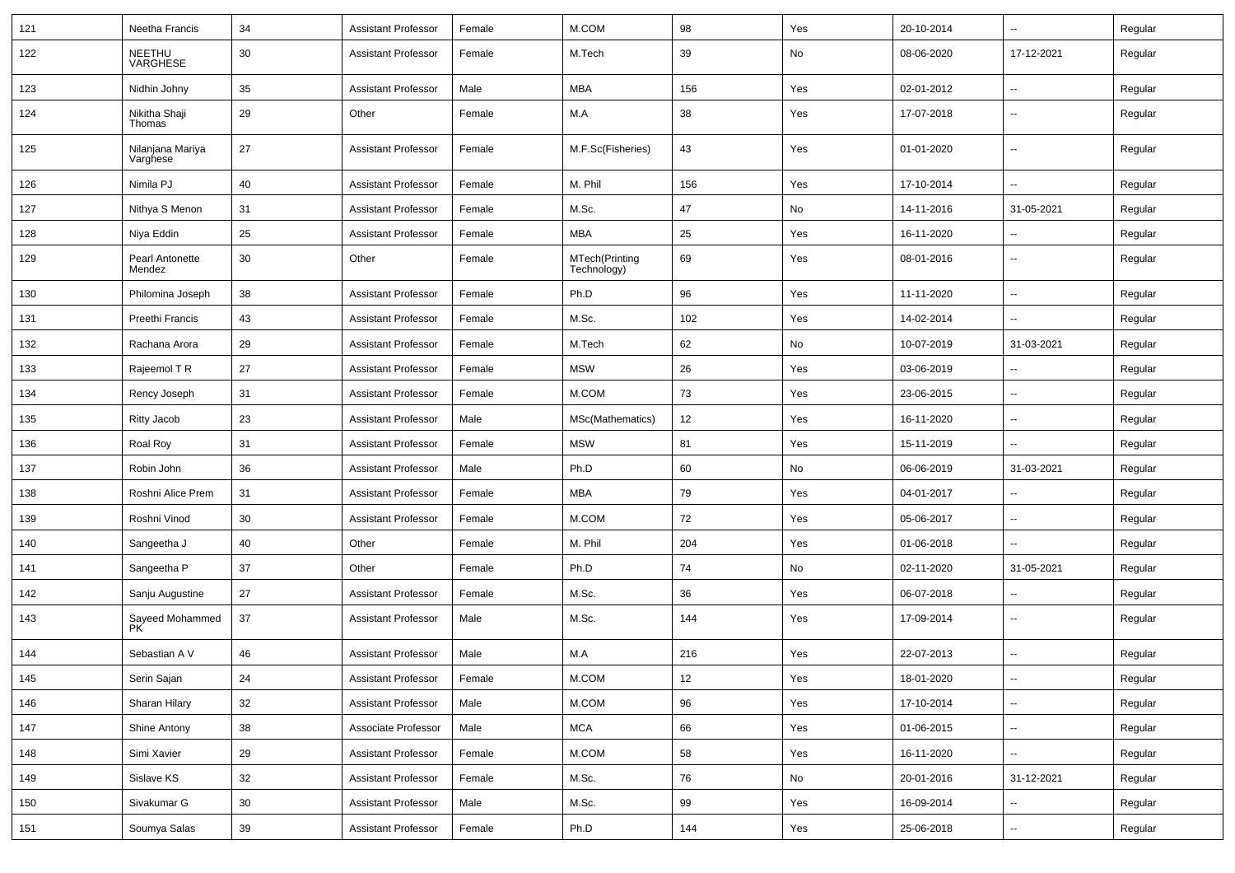| 121 | Neetha Francis               | 34 | <b>Assistant Professor</b> | Female | M.COM                         | 98  | Yes | 20-10-2014 | Ξ.                       | Regular |
|-----|------------------------------|----|----------------------------|--------|-------------------------------|-----|-----|------------|--------------------------|---------|
| 122 | NEETHU<br>VARGHESE           | 30 | <b>Assistant Professor</b> | Female | M.Tech                        | 39  | No  | 08-06-2020 | 17-12-2021               | Regular |
| 123 | Nidhin Johny                 | 35 | <b>Assistant Professor</b> | Male   | <b>MBA</b>                    | 156 | Yes | 02-01-2012 | --                       | Regular |
| 124 | Nikitha Shaji<br>Thomas      | 29 | Other                      | Female | M.A                           | 38  | Yes | 17-07-2018 | $\overline{\phantom{a}}$ | Regular |
| 125 | Nilanjana Mariya<br>Varghese | 27 | <b>Assistant Professor</b> | Female | M.F.Sc(Fisheries)             | 43  | Yes | 01-01-2020 | u.                       | Regular |
| 126 | Nimila PJ                    | 40 | <b>Assistant Professor</b> | Female | M. Phil                       | 156 | Yes | 17-10-2014 | $\overline{\phantom{a}}$ | Regular |
| 127 | Nithya S Menon               | 31 | <b>Assistant Professor</b> | Female | M.Sc.                         | 47  | No  | 14-11-2016 | 31-05-2021               | Regular |
| 128 | Niya Eddin                   | 25 | <b>Assistant Professor</b> | Female | <b>MBA</b>                    | 25  | Yes | 16-11-2020 | $\overline{\phantom{a}}$ | Regular |
| 129 | Pearl Antonette<br>Mendez    | 30 | Other                      | Female | MTech(Printing<br>Technology) | 69  | Yes | 08-01-2016 | $\overline{a}$           | Regular |
| 130 | Philomina Joseph             | 38 | <b>Assistant Professor</b> | Female | Ph.D                          | 96  | Yes | 11-11-2020 | u.                       | Regular |
| 131 | Preethi Francis              | 43 | <b>Assistant Professor</b> | Female | M.Sc.                         | 102 | Yes | 14-02-2014 | Ξ.                       | Regular |
| 132 | Rachana Arora                | 29 | <b>Assistant Professor</b> | Female | M.Tech                        | 62  | No  | 10-07-2019 | 31-03-2021               | Regular |
| 133 | Rajeemol T R                 | 27 | <b>Assistant Professor</b> | Female | <b>MSW</b>                    | 26  | Yes | 03-06-2019 | $\overline{\phantom{a}}$ | Regular |
| 134 | Rency Joseph                 | 31 | <b>Assistant Professor</b> | Female | M.COM                         | 73  | Yes | 23-06-2015 | --                       | Regular |
| 135 | <b>Ritty Jacob</b>           | 23 | <b>Assistant Professor</b> | Male   | MSc(Mathematics)              | 12  | Yes | 16-11-2020 | $\overline{\phantom{a}}$ | Regular |
| 136 | Roal Roy                     | 31 | <b>Assistant Professor</b> | Female | <b>MSW</b>                    | 81  | Yes | 15-11-2019 | u.                       | Regular |
| 137 | Robin John                   | 36 | <b>Assistant Professor</b> | Male   | Ph.D                          | 60  | No  | 06-06-2019 | 31-03-2021               | Regular |
| 138 | Roshni Alice Prem            | 31 | <b>Assistant Professor</b> | Female | <b>MBA</b>                    | 79  | Yes | 04-01-2017 | --                       | Regular |
| 139 | Roshni Vinod                 | 30 | <b>Assistant Professor</b> | Female | M.COM                         | 72  | Yes | 05-06-2017 | $\overline{a}$           | Regular |
| 140 | Sangeetha J                  | 40 | Other                      | Female | M. Phil                       | 204 | Yes | 01-06-2018 | $\overline{a}$           | Regular |
| 141 | Sangeetha P                  | 37 | Other                      | Female | Ph.D                          | 74  | No  | 02-11-2020 | 31-05-2021               | Regular |
| 142 | Sanju Augustine              | 27 | <b>Assistant Professor</b> | Female | M.Sc.                         | 36  | Yes | 06-07-2018 | $\overline{a}$           | Regular |
| 143 | Sayeed Mohammed<br>PK        | 37 | <b>Assistant Professor</b> | Male   | M.Sc.                         | 144 | Yes | 17-09-2014 | --                       | Regular |
| 144 | Sebastian A V                | 46 | <b>Assistant Professor</b> | Male   | M.A                           | 216 | Yes | 22-07-2013 | Ξ.                       | Regular |
| 145 | Serin Sajan                  | 24 | <b>Assistant Professor</b> | Female | M.COM                         | 12  | Yes | 18-01-2020 | $\overline{\phantom{a}}$ | Regular |
| 146 | Sharan Hilary                | 32 | <b>Assistant Professor</b> | Male   | M.COM                         | 96  | Yes | 17-10-2014 | Ξ.                       | Regular |
| 147 | Shine Antony                 | 38 | Associate Professor        | Male   | <b>MCA</b>                    | 66  | Yes | 01-06-2015 | --                       | Regular |
| 148 | Simi Xavier                  | 29 | <b>Assistant Professor</b> | Female | M.COM                         | 58  | Yes | 16-11-2020 | Ξ.                       | Regular |
| 149 | Sislave KS                   | 32 | <b>Assistant Professor</b> | Female | M.Sc.                         | 76  | No  | 20-01-2016 | 31-12-2021               | Regular |
| 150 | Sivakumar G                  | 30 | <b>Assistant Professor</b> | Male   | M.Sc.                         | 99  | Yes | 16-09-2014 | Ξ.                       | Regular |
| 151 | Soumya Salas                 | 39 | <b>Assistant Professor</b> | Female | Ph.D                          | 144 | Yes | 25-06-2018 | н,                       | Regular |